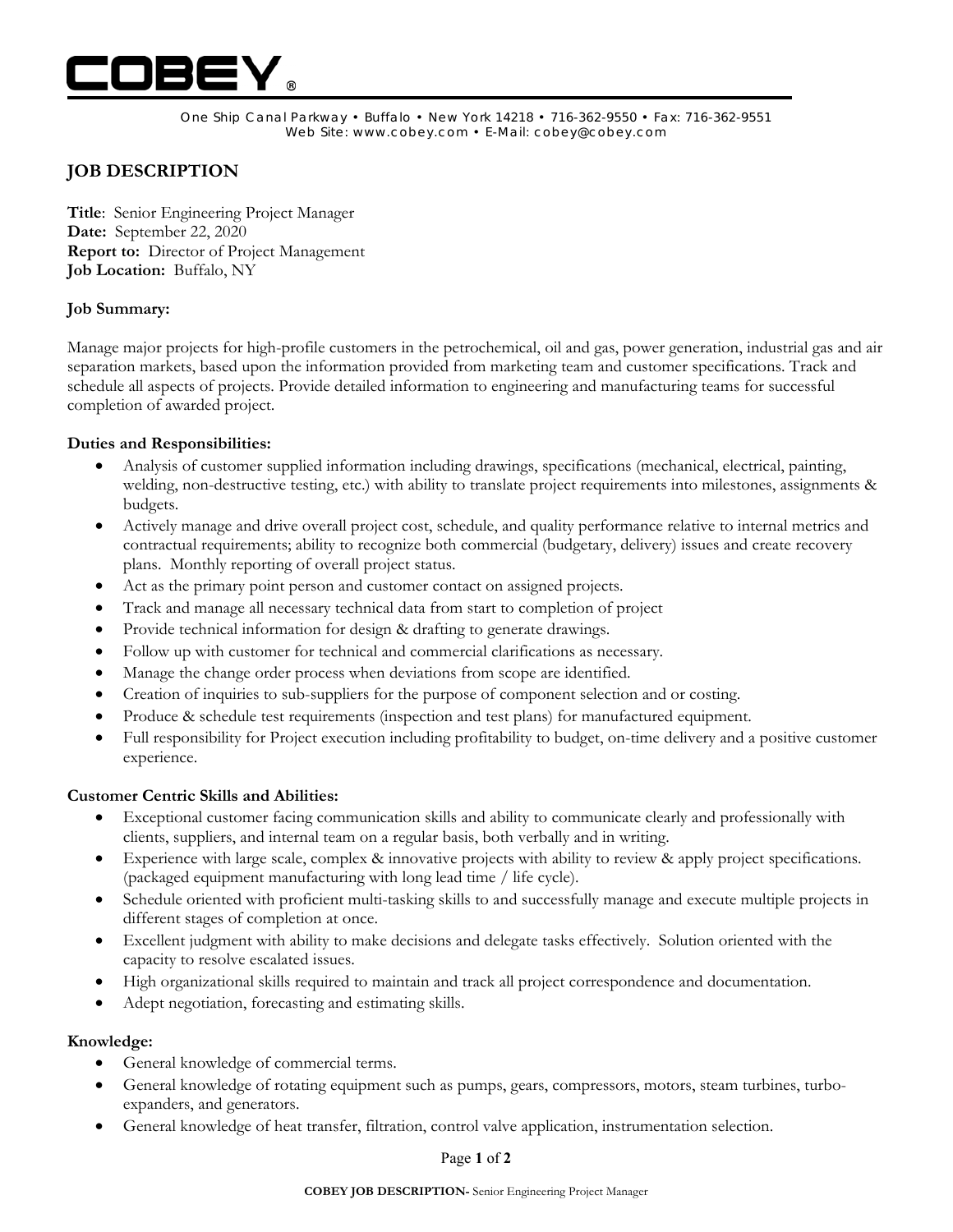

One Ship Canal Parkway • Buffalo • New York 14218 • 716-362-9550 • Fax: 716-362-9551 Web Site: www.cobey.com • E-Mail: cobey@cobey.com

# **JOB DESCRIPTION**

**Title**: Senior Engineering Project Manager **Date:** September 22, 2020 **Report to:** Director of Project Management **Job Location:** Buffalo, NY

# **Job Summary:**

Manage major projects for high-profile customers in the petrochemical, oil and gas, power generation, industrial gas and air separation markets, based upon the information provided from marketing team and customer specifications. Track and schedule all aspects of projects. Provide detailed information to engineering and manufacturing teams for successful completion of awarded project.

#### **Duties and Responsibilities:**

- Analysis of customer supplied information including drawings, specifications (mechanical, electrical, painting, welding, non-destructive testing, etc.) with ability to translate project requirements into milestones, assignments & budgets.
- Actively manage and drive overall project cost, schedule, and quality performance relative to internal metrics and contractual requirements; ability to recognize both commercial (budgetary, delivery) issues and create recovery plans. Monthly reporting of overall project status.
- Act as the primary point person and customer contact on assigned projects.
- Track and manage all necessary technical data from start to completion of project
- Provide technical information for design & drafting to generate drawings.
- Follow up with customer for technical and commercial clarifications as necessary.
- Manage the change order process when deviations from scope are identified.
- Creation of inquiries to sub-suppliers for the purpose of component selection and or costing.
- Produce & schedule test requirements (inspection and test plans) for manufactured equipment.
- Full responsibility for Project execution including profitability to budget, on-time delivery and a positive customer experience.

# **Customer Centric Skills and Abilities:**

- Exceptional customer facing communication skills and ability to communicate clearly and professionally with clients, suppliers, and internal team on a regular basis, both verbally and in writing.
- Experience with large scale, complex & innovative projects with ability to review & apply project specifications. (packaged equipment manufacturing with long lead time / life cycle).
- Schedule oriented with proficient multi-tasking skills to and successfully manage and execute multiple projects in different stages of completion at once.
- Excellent judgment with ability to make decisions and delegate tasks effectively. Solution oriented with the capacity to resolve escalated issues.
- High organizational skills required to maintain and track all project correspondence and documentation.
- Adept negotiation, forecasting and estimating skills.

# **Knowledge:**

- General knowledge of commercial terms.
- General knowledge of rotating equipment such as pumps, gears, compressors, motors, steam turbines, turboexpanders, and generators.
- General knowledge of heat transfer, filtration, control valve application, instrumentation selection.

#### Page **1** of **2**